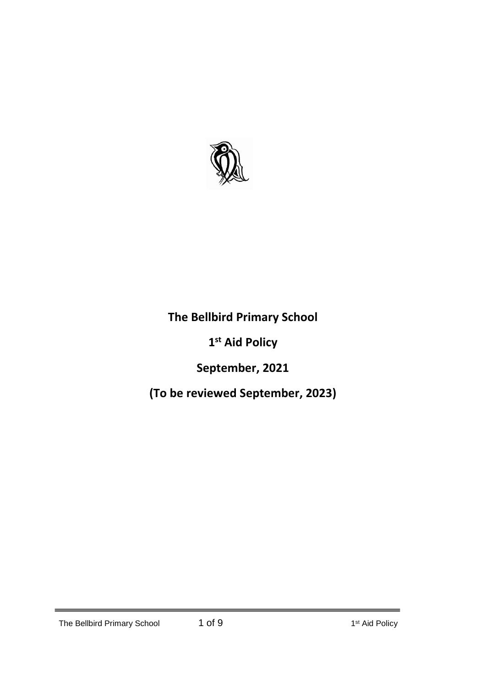

# **The Bellbird Primary School**

# **1 st Aid Policy**

# **September, 2021**

# **(To be reviewed September, 2023)**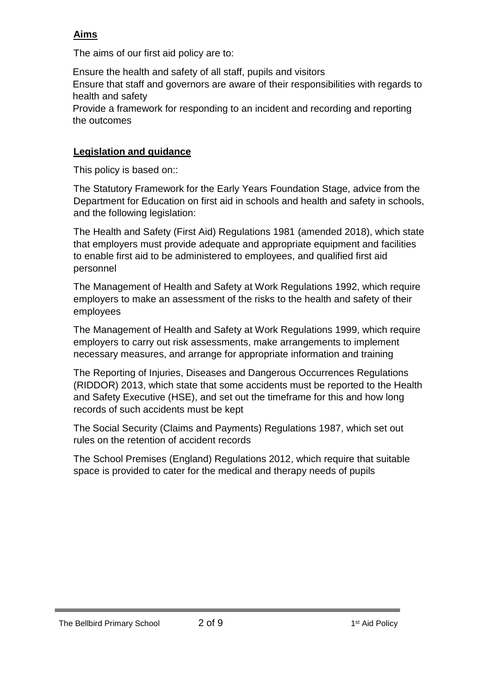## **Aims**

The aims of our first aid policy are to:

Ensure the health and safety of all staff, pupils and visitors Ensure that staff and governors are aware of their responsibilities with regards to health and safety Provide a framework for responding to an incident and recording and reporting the outcomes

## **Legislation and guidance**

This policy is based on::

The Statutory Framework for the Early Years Foundation Stage, advice from the Department for Education on first aid in schools and health and safety in schools, and the following legislation:

The Health and Safety (First Aid) Regulations 1981 (amended 2018), which state that employers must provide adequate and appropriate equipment and facilities to enable first aid to be administered to employees, and qualified first aid personnel

The Management of Health and Safety at Work Regulations 1992, which require employers to make an assessment of the risks to the health and safety of their employees

The Management of Health and Safety at Work Regulations 1999, which require employers to carry out risk assessments, make arrangements to implement necessary measures, and arrange for appropriate information and training

The Reporting of Injuries, Diseases and Dangerous Occurrences Regulations (RIDDOR) 2013, which state that some accidents must be reported to the Health and Safety Executive (HSE), and set out the timeframe for this and how long records of such accidents must be kept

The Social Security (Claims and Payments) Regulations 1987, which set out rules on the retention of accident records

The School Premises (England) Regulations 2012, which require that suitable space is provided to cater for the medical and therapy needs of pupils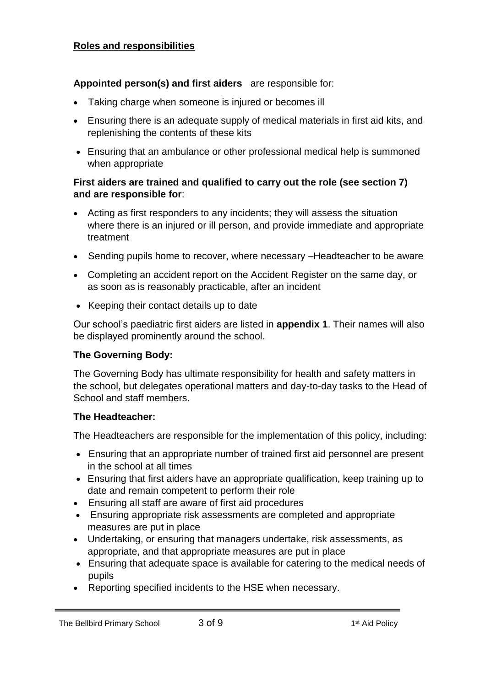#### **Roles and responsibilities**

#### **Appointed person(s) and first aiders** are responsible for:

- Taking charge when someone is injured or becomes ill
- Ensuring there is an adequate supply of medical materials in first aid kits, and replenishing the contents of these kits
- Ensuring that an ambulance or other professional medical help is summoned when appropriate

#### **First aiders are trained and qualified to carry out the role (see section 7) and are responsible for**:

- Acting as first responders to any incidents; they will assess the situation where there is an injured or ill person, and provide immediate and appropriate treatment
- Sending pupils home to recover, where necessary –Headteacher to be aware
- Completing an accident report on the Accident Register on the same day, or as soon as is reasonably practicable, after an incident
- Keeping their contact details up to date

Our school's paediatric first aiders are listed in **appendix 1**. Their names will also be displayed prominently around the school.

#### **The Governing Body:**

The Governing Body has ultimate responsibility for health and safety matters in the school, but delegates operational matters and day-to-day tasks to the Head of School and staff members.

#### **The Headteacher:**

The Headteachers are responsible for the implementation of this policy, including:

- Ensuring that an appropriate number of trained first aid personnel are present in the school at all times
- Ensuring that first aiders have an appropriate qualification, keep training up to date and remain competent to perform their role
- Ensuring all staff are aware of first aid procedures
- Ensuring appropriate risk assessments are completed and appropriate measures are put in place
- Undertaking, or ensuring that managers undertake, risk assessments, as appropriate, and that appropriate measures are put in place
- Ensuring that adequate space is available for catering to the medical needs of pupils
- Reporting specified incidents to the HSE when necessary.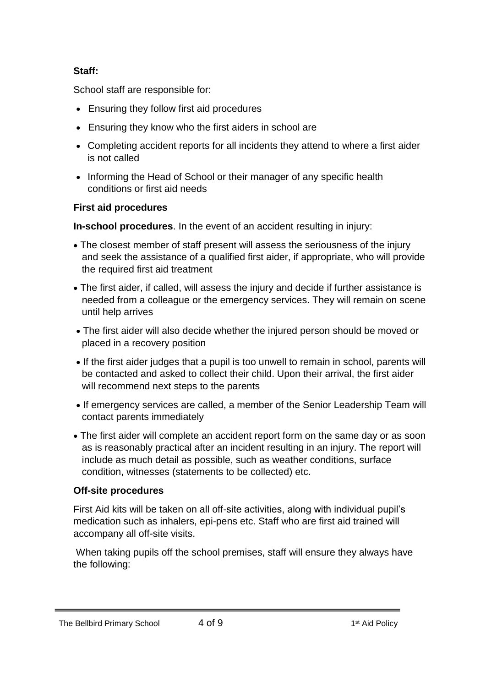#### **Staff:**

School staff are responsible for:

- Ensuring they follow first aid procedures
- Ensuring they know who the first aiders in school are
- Completing accident reports for all incidents they attend to where a first aider is not called
- Informing the Head of School or their manager of any specific health conditions or first aid needs

## **First aid procedures**

**In-school procedures**. In the event of an accident resulting in injury:

- The closest member of staff present will assess the seriousness of the injury and seek the assistance of a qualified first aider, if appropriate, who will provide the required first aid treatment
- The first aider, if called, will assess the injury and decide if further assistance is needed from a colleague or the emergency services. They will remain on scene until help arrives
- The first aider will also decide whether the injured person should be moved or placed in a recovery position
- If the first aider judges that a pupil is too unwell to remain in school, parents will be contacted and asked to collect their child. Upon their arrival, the first aider will recommend next steps to the parents
- If emergency services are called, a member of the Senior Leadership Team will contact parents immediately
- The first aider will complete an accident report form on the same day or as soon as is reasonably practical after an incident resulting in an injury. The report will include as much detail as possible, such as weather conditions, surface condition, witnesses (statements to be collected) etc.

## **Off-site procedures**

First Aid kits will be taken on all off-site activities, along with individual pupil's medication such as inhalers, epi-pens etc. Staff who are first aid trained will accompany all off-site visits.

When taking pupils off the school premises, staff will ensure they always have the following:

#### The Bellbird Primary School 4 of 9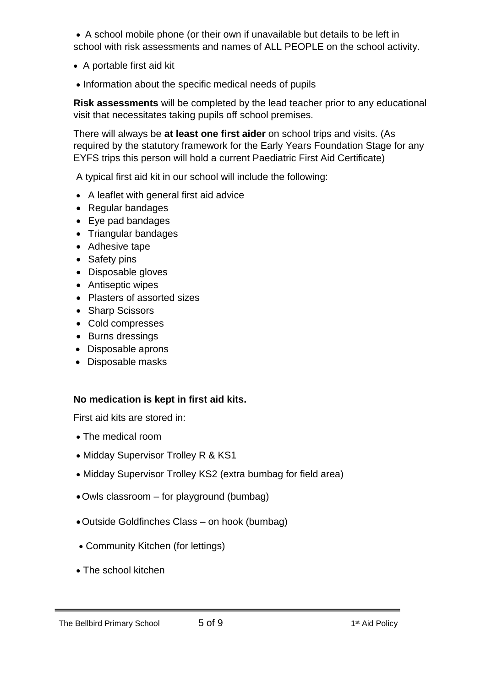A school mobile phone (or their own if unavailable but details to be left in school with risk assessments and names of ALL PEOPLE on the school activity.

- A portable first aid kit
- Information about the specific medical needs of pupils

**Risk assessments** will be completed by the lead teacher prior to any educational visit that necessitates taking pupils off school premises.

There will always be **at least one first aider** on school trips and visits. (As required by the statutory framework for the Early Years Foundation Stage for any EYFS trips this person will hold a current Paediatric First Aid Certificate)

A typical first aid kit in our school will include the following:

- A leaflet with general first aid advice
- Regular bandages
- Eye pad bandages
- Triangular bandages
- Adhesive tape
- Safety pins
- Disposable gloves
- Antiseptic wipes
- Plasters of assorted sizes
- Sharp Scissors
- Cold compresses
- Burns dressings
- Disposable aprons
- Disposable masks

#### **No medication is kept in first aid kits.**

First aid kits are stored in:

- The medical room
- Midday Supervisor Trolley R & KS1
- Midday Supervisor Trolley KS2 (extra bumbag for field area)
- Owls classroom for playground (bumbag)
- Outside Goldfinches Class on hook (bumbag)
- Community Kitchen (for lettings)
- The school kitchen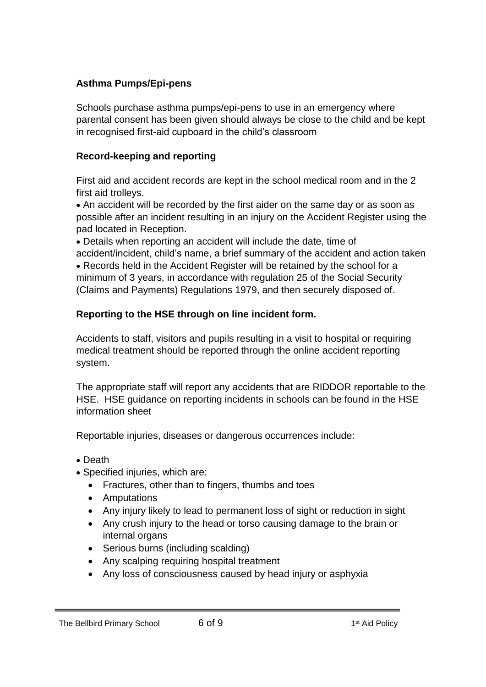## **Asthma Pumps/Epi-pens**

Schools purchase asthma pumps/epi-pens to use in an emergency where parental consent has been given should always be close to the child and be kept in recognised first-aid cupboard in the child's classroom

## **Record-keeping and reporting**

First aid and accident records are kept in the school medical room and in the 2 first aid trolleys.

 An accident will be recorded by the first aider on the same day or as soon as possible after an incident resulting in an injury on the Accident Register using the pad located in Reception.

Details when reporting an accident will include the date, time of

accident/incident, child's name, a brief summary of the accident and action taken

 Records held in the Accident Register will be retained by the school for a minimum of 3 years, in accordance with regulation 25 of the Social Security (Claims and Payments) Regulations 1979, and then securely disposed of.

## **Reporting to the HSE through on line incident form.**

Accidents to staff, visitors and pupils resulting in a visit to hospital or requiring medical treatment should be reported through the online accident reporting system.

The appropriate staff will report any accidents that are RIDDOR reportable to the HSE. HSE guidance on reporting incidents in schools can be found in the HSE information sheet

Reportable injuries, diseases or dangerous occurrences include:

- Death
- Specified injuries, which are:
	- Fractures, other than to fingers, thumbs and toes
	- Amputations
	- Any injury likely to lead to permanent loss of sight or reduction in sight
	- Any crush injury to the head or torso causing damage to the brain or internal organs
	- Serious burns (including scalding)
	- Any scalping requiring hospital treatment
	- Any loss of consciousness caused by head injury or asphyxia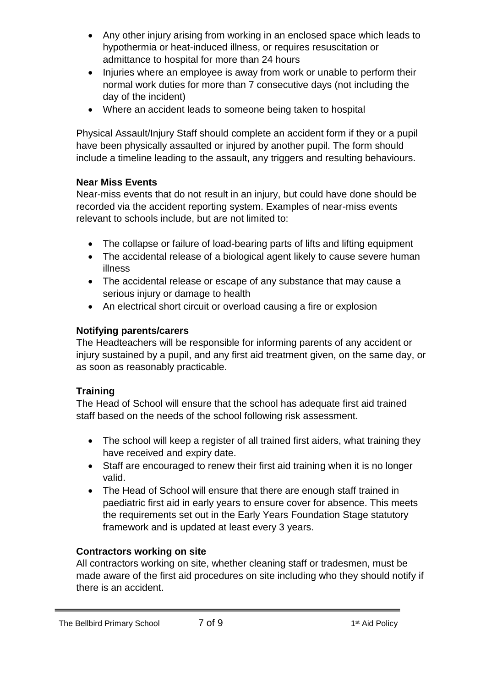- Any other injury arising from working in an enclosed space which leads to hypothermia or heat-induced illness, or requires resuscitation or admittance to hospital for more than 24 hours
- Injuries where an employee is away from work or unable to perform their normal work duties for more than 7 consecutive days (not including the day of the incident)
- Where an accident leads to someone being taken to hospital

Physical Assault/Injury Staff should complete an accident form if they or a pupil have been physically assaulted or injured by another pupil. The form should include a timeline leading to the assault, any triggers and resulting behaviours.

## **Near Miss Events**

Near-miss events that do not result in an injury, but could have done should be recorded via the accident reporting system. Examples of near-miss events relevant to schools include, but are not limited to:

- The collapse or failure of load-bearing parts of lifts and lifting equipment
- The accidental release of a biological agent likely to cause severe human illness
- The accidental release or escape of any substance that may cause a serious injury or damage to health
- An electrical short circuit or overload causing a fire or explosion

## **Notifying parents/carers**

The Headteachers will be responsible for informing parents of any accident or injury sustained by a pupil, and any first aid treatment given, on the same day, or as soon as reasonably practicable.

## **Training**

The Head of School will ensure that the school has adequate first aid trained staff based on the needs of the school following risk assessment.

- The school will keep a register of all trained first aiders, what training they have received and expiry date.
- Staff are encouraged to renew their first aid training when it is no longer valid.
- The Head of School will ensure that there are enough staff trained in paediatric first aid in early years to ensure cover for absence. This meets the requirements set out in the Early Years Foundation Stage statutory framework and is updated at least every 3 years.

## **Contractors working on site**

All contractors working on site, whether cleaning staff or tradesmen, must be made aware of the first aid procedures on site including who they should notify if there is an accident.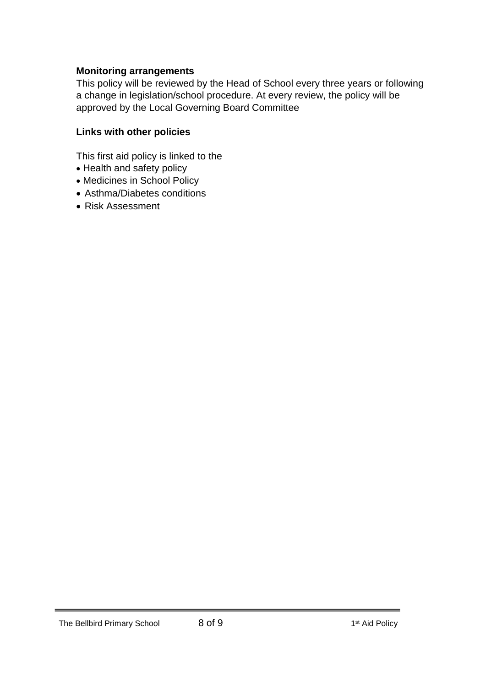#### **Monitoring arrangements**

This policy will be reviewed by the Head of School every three years or following a change in legislation/school procedure. At every review, the policy will be approved by the Local Governing Board Committee

#### **Links with other policies**

This first aid policy is linked to the

- Health and safety policy
- Medicines in School Policy
- Asthma/Diabetes conditions
- Risk Assessment